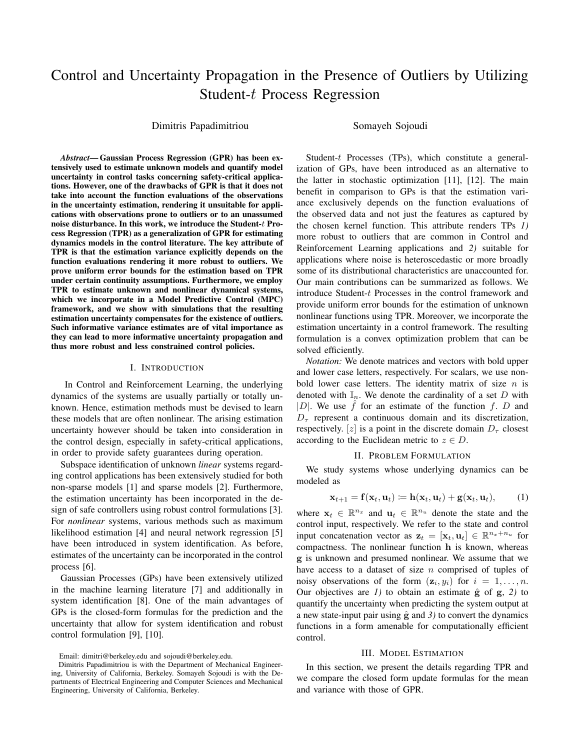# Control and Uncertainty Propagation in the Presence of Outliers by Utilizing Student-t Process Regression

Dimitris Papadimitriou Somayeh Sojoudi

*Abstract*— Gaussian Process Regression (GPR) has been extensively used to estimate unknown models and quantify model uncertainty in control tasks concerning safety-critical applications. However, one of the drawbacks of GPR is that it does not take into account the function evaluations of the observations in the uncertainty estimation, rendering it unsuitable for applications with observations prone to outliers or to an unassumed noise disturbance. In this work, we introduce the Student-t Process Regression (TPR) as a generalization of GPR for estimating dynamics models in the control literature. The key attribute of TPR is that the estimation variance explicitly depends on the function evaluations rendering it more robust to outliers. We prove uniform error bounds for the estimation based on TPR under certain continuity assumptions. Furthermore, we employ TPR to estimate unknown and nonlinear dynamical systems, which we incorporate in a Model Predictive Control (MPC) framework, and we show with simulations that the resulting estimation uncertainty compensates for the existence of outliers. Such informative variance estimates are of vital importance as they can lead to more informative uncertainty propagation and thus more robust and less constrained control policies.

## I. INTRODUCTION

In Control and Reinforcement Learning, the underlying dynamics of the systems are usually partially or totally unknown. Hence, estimation methods must be devised to learn these models that are often nonlinear. The arising estimation uncertainty however should be taken into consideration in the control design, especially in safety-critical applications, in order to provide safety guarantees during operation.

Subspace identification of unknown *linear* systems regarding control applications has been extensively studied for both non-sparse models [1] and sparse models [2]. Furthermore, the estimation uncertainty has been incorporated in the design of safe controllers using robust control formulations [3]. For *nonlinear* systems, various methods such as maximum likelihood estimation [4] and neural network regression [5] have been introduced in system identification. As before, estimates of the uncertainty can be incorporated in the control process [6].

Gaussian Processes (GPs) have been extensively utilized in the machine learning literature [7] and additionally in system identification [8]. One of the main advantages of GPs is the closed-form formulas for the prediction and the uncertainty that allow for system identification and robust control formulation [9], [10].

Email: dimitri@berkeley.edu and sojoudi@berkeley.edu.

Student-t Processes (TPs), which constitute a generalization of GPs, have been introduced as an alternative to the latter in stochastic optimization [11], [12]. The main benefit in comparison to GPs is that the estimation variance exclusively depends on the function evaluations of the observed data and not just the features as captured by the chosen kernel function. This attribute renders TPs *1)* more robust to outliers that are common in Control and Reinforcement Learning applications and *2)* suitable for applications where noise is heteroscedastic or more broadly some of its distributional characteristics are unaccounted for. Our main contributions can be summarized as follows. We introduce Student-t Processes in the control framework and provide uniform error bounds for the estimation of unknown nonlinear functions using TPR. Moreover, we incorporate the estimation uncertainty in a control framework. The resulting formulation is a convex optimization problem that can be solved efficiently.

*Notation:* We denote matrices and vectors with bold upper and lower case letters, respectively. For scalars, we use nonbold lower case letters. The identity matrix of size  $n$  is denoted with  $\mathbb{I}_n$ . We denote the cardinality of a set D with |D|. We use  $\hat{f}$  for an estimate of the function  $f$ . D and  $D_{\tau}$  represent a continuous domain and its discretization, respectively. [z] is a point in the discrete domain  $D_{\tau}$  closest according to the Euclidean metric to  $z \in D$ .

## <span id="page-0-0"></span>II. PROBLEM FORMULATION

We study systems whose underlying dynamics can be modeled as

$$
\mathbf{x}_{t+1} = \mathbf{f}(\mathbf{x}_t, \mathbf{u}_t) \coloneqq \mathbf{h}(\mathbf{x}_t, \mathbf{u}_t) + \mathbf{g}(\mathbf{x}_t, \mathbf{u}_t), \quad (1)
$$

where  $\mathbf{x}_t \in \mathbb{R}^{n_x}$  and  $\mathbf{u}_t \in \mathbb{R}^{n_u}$  denote the state and the control input, respectively. We refer to the state and control input concatenation vector as  $\mathbf{z}_t = [\mathbf{x}_t, \mathbf{u}_t] \in \mathbb{R}^{n_x+n_u}$  for compactness. The nonlinear function h is known, whereas g is unknown and presumed nonlinear. We assume that we have access to a dataset of size  $n$  comprised of tuples of noisy observations of the form  $(z_i, y_i)$  for  $i = 1, ..., n$ . Our objectives are  $I$ ) to obtain an estimate  $\hat{g}$  of  $g$ ,  $2$ ) to quantify the uncertainty when predicting the system output at a new state-input pair using  $\hat{g}$  and  $\hat{J}$ ) to convert the dynamics functions in a form amenable for computationally efficient control.

## III. MODEL ESTIMATION

<span id="page-0-1"></span>In this section, we present the details regarding TPR and we compare the closed form update formulas for the mean and variance with those of GPR.

Dimitris Papadimitriou is with the Department of Mechanical Engineering, University of California, Berkeley. Somayeh Sojoudi is with the Departments of Electrical Engineering and Computer Sciences and Mechanical Engineering, University of California, Berkeley.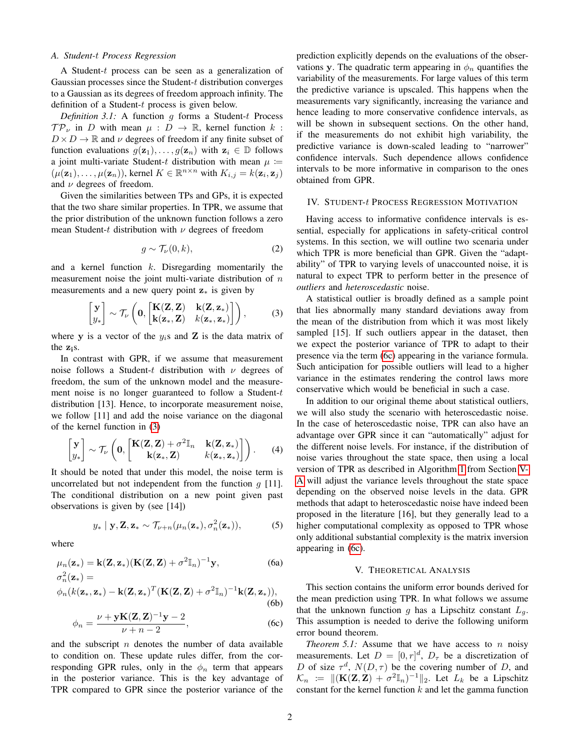## *A. Student-*t *Process Regression*

A Student-t process can be seen as a generalization of Gaussian processes since the Student-t distribution converges to a Gaussian as its degrees of freedom approach infinity. The definition of a Student-t process is given below.

*Definition 3.1:* A function g forms a Student-t Process  $\mathcal{TP}_{\nu}$  in D with mean  $\mu : D \to \mathbb{R}$ , kernel function k:  $D \times D \to \mathbb{R}$  and  $\nu$  degrees of freedom if any finite subset of function evaluations  $g(\mathbf{z}_1), \ldots, g(\mathbf{z}_n)$  with  $\mathbf{z}_i \in \mathbb{D}$  follows a joint multi-variate Student-t distribution with mean  $\mu$  :=  $(\mu(\mathbf{z}_1), \ldots, \mu(\mathbf{z}_n))$ , kernel  $K \in \mathbb{R}^{n \times n}$  with  $K_{i,j} = k(\mathbf{z}_i, \mathbf{z}_j)$ and  $\nu$  degrees of freedom.

Given the similarities between TPs and GPs, it is expected that the two share similar properties. In TPR, we assume that the prior distribution of the unknown function follows a zero mean Student-t distribution with  $\nu$  degrees of freedom

$$
g \sim \mathcal{T}_{\nu}(0, k), \tag{2}
$$

and a kernel function  $k$ . Disregarding momentarily the measurement noise the joint multi-variate distribution of  $n$ measurements and a new query point  $z_*$  is given by

$$
\begin{bmatrix} \mathbf{y} \\ y_* \end{bmatrix} \sim \mathcal{T}_{\nu} \left( \mathbf{0}, \begin{bmatrix} \mathbf{K}(\mathbf{Z}, \mathbf{Z}) & \mathbf{k}(\mathbf{Z}, \mathbf{z}_*) \\ \mathbf{k}(\mathbf{z}_*, \mathbf{Z}) & k(\mathbf{z}_*, \mathbf{z}_*) \end{bmatrix} \right), \tag{3}
$$

where y is a vector of the  $y_i$ s and Z is the data matrix of the zis.

In contrast with GPR, if we assume that measurement noise follows a Student-t distribution with  $\nu$  degrees of freedom, the sum of the unknown model and the measurement noise is no longer guaranteed to follow a Student-t distribution [13]. Hence, to incorporate measurement noise, we follow [11] and add the noise variance on the diagonal of the kernel function in [\(3\)](#page-1-0)

$$
\begin{bmatrix} \mathbf{y} \\ y_* \end{bmatrix} \sim \mathcal{T}_{\nu} \left( \mathbf{0}, \begin{bmatrix} \mathbf{K}(\mathbf{Z}, \mathbf{Z}) + \sigma^2 \mathbb{I}_n & \mathbf{k}(\mathbf{Z}, \mathbf{z}_*) \\ \mathbf{k}(\mathbf{z}_*, \mathbf{Z}) & k(\mathbf{z}_*, \mathbf{z}_*) \end{bmatrix} \right). \tag{4}
$$

It should be noted that under this model, the noise term is uncorrelated but not independent from the function  $q$  [11]. The conditional distribution on a new point given past observations is given by (see [14])

$$
y_* | \mathbf{y}, \mathbf{Z}, \mathbf{z}_* \sim \mathcal{T}_{\nu+n}(\mu_n(\mathbf{z}_*), \sigma_n^2(\mathbf{z}_*)),
$$
 (5)

where

$$
\mu_n(\mathbf{z}_*) = \mathbf{k}(\mathbf{Z}, \mathbf{z}_*) (\mathbf{K}(\mathbf{Z}, \mathbf{Z}) + \sigma^2 \mathbb{I}_n)^{-1} \mathbf{y},
$$
\n(6a)\n
$$
\sigma_n^2(\mathbf{z}_*) =
$$

$$
\phi_n(k(\mathbf{z}_*,\mathbf{z}_*) - \mathbf{k}(\mathbf{Z},\mathbf{z}_*)^T(\mathbf{K}(\mathbf{Z},\mathbf{Z}) + \sigma^2 \mathbb{I}_n)^{-1}\mathbf{k}(\mathbf{Z},\mathbf{z}_*)),
$$
\n(6b)

$$
\phi_n = \frac{\nu + \mathbf{y} \mathbf{K}(\mathbf{Z}, \mathbf{Z})^{-1} \mathbf{y} - 2}{\nu + n - 2},\tag{6c}
$$

and the subscript  $n$  denotes the number of data available to condition on. These update rules differ, from the corresponding GPR rules, only in the  $\phi_n$  term that appears in the posterior variance. This is the key advantage of TPR compared to GPR since the posterior variance of the prediction explicitly depends on the evaluations of the observations y. The quadratic term appearing in  $\phi_n$  quantifies the variability of the measurements. For large values of this term the predictive variance is upscaled. This happens when the measurements vary significantly, increasing the variance and hence leading to more conservative confidence intervals, as will be shown in subsequent sections. On the other hand, if the measurements do not exhibit high variability, the predictive variance is down-scaled leading to "narrower" confidence intervals. Such dependence allows confidence intervals to be more informative in comparison to the ones obtained from GPR.

## IV. STUDENT-t PROCESS REGRESSION MOTIVATION

<span id="page-1-3"></span>Having access to informative confidence intervals is essential, especially for applications in safety-critical control systems. In this section, we will outline two scenaria under which TPR is more beneficial than GPR. Given the "adaptability" of TPR to varying levels of unaccounted noise, it is natural to expect TPR to perform better in the presence of *outliers* and *heteroscedastic* noise.

<span id="page-1-0"></span>A statistical outlier is broadly defined as a sample point that lies abnormally many standard deviations away from the mean of the distribution from which it was most likely sampled [15]. If such outliers appear in the dataset, then we expect the posterior variance of TPR to adapt to their presence via the term [\(6c\)](#page-1-0) appearing in the variance formula. Such anticipation for possible outliers will lead to a higher variance in the estimates rendering the control laws more conservative which would be beneficial in such a case.

In addition to our original theme about statistical outliers, we will also study the scenario with heteroscedastic noise. In the case of heteroscedastic noise, TPR can also have an advantage over GPR since it can "automatically" adjust for the different noise levels. For instance, if the distribution of noise varies throughout the state space, then using a local version of TPR as described in Algorithm [1](#page-3-0) from Section [V-](#page-3-1)[A](#page-3-1) will adjust the variance levels throughout the state space depending on the observed noise levels in the data. GPR methods that adapt to heteroscedastic noise have indeed been proposed in the literature [16], but they generally lead to a higher computational complexity as opposed to TPR whose only additional substantial complexity is the matrix inversion appearing in [\(6c\)](#page-1-0).

#### V. THEORETICAL ANALYSIS

<span id="page-1-1"></span>This section contains the uniform error bounds derived for the mean prediction using TPR. In what follows we assume that the unknown function g has a Lipschitz constant  $L_q$ . This assumption is needed to derive the following uniform error bound theorem.

<span id="page-1-2"></span>*Theorem 5.1:* Assume that we have access to  $n$  noisy measurements. Let  $D = [0, r]^d$ ,  $D_{\tau}$  be a discretization of D of size  $\tau^d$ ,  $N(D, \tau)$  be the covering number of D, and  $\mathcal{K}_n := ||(\mathbf{K}(\mathbf{Z}, \mathbf{Z}) + \sigma^2 \mathbb{I}_n)^{-1}||_2$ . Let  $L_k$  be a Lipschitz constant for the kernel function  $k$  and let the gamma function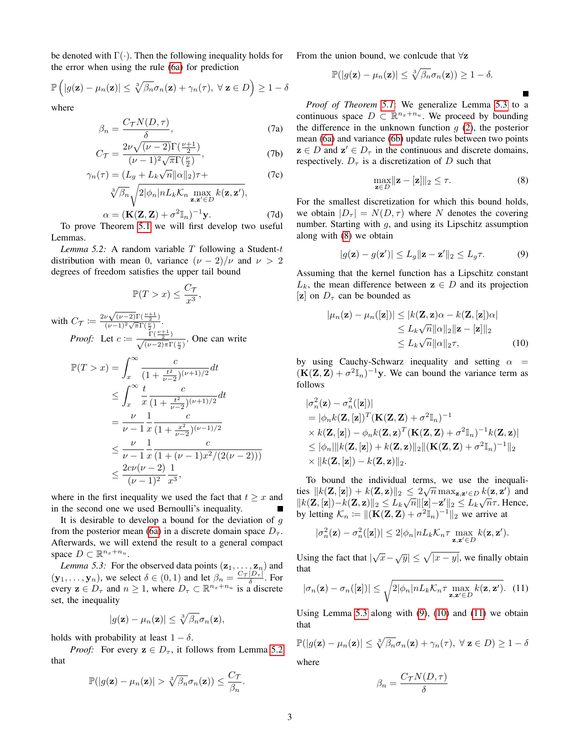be denoted with  $\Gamma(\cdot)$ . Then the following inequality holds for the error when using the rule [\(6a\)](#page-1-1) for prediction

$$
\mathbb{P}\left(|g(\mathbf{z}) - \mu_n(\mathbf{z})| \leq \sqrt[3]{\beta_n} \sigma_n(\mathbf{z}) + \gamma_n(\tau), \ \forall \ \mathbf{z} \in D\right) \geq 1 - \delta
$$

where

$$
\beta_n = \frac{C_\mathcal{T} N(D, \tau)}{\delta},\tag{7a}
$$

$$
C_{\mathcal{T}} = \frac{2\nu\sqrt{(\nu - 2)}\Gamma(\frac{\nu + 1}{2})}{(\nu - 1)^2\sqrt{\pi}\Gamma(\frac{\nu}{2})},\tag{7b}
$$

$$
\gamma_n(\tau) = (L_g + L_k \sqrt{n} ||\alpha||_2)\tau +
$$
\n(7c)

$$
\sqrt[3]{\beta_n}\sqrt{2|\phi_n|nL_k\mathcal{K}_n\max_{\mathbf{z},\mathbf{z}'\in D}k(\mathbf{z},\mathbf{z}')},
$$

$$
\alpha = (\mathbf{K}(\mathbf{Z}, \mathbf{Z}) + \sigma^2 \mathbb{I}_n)^{-1} \mathbf{y}.
$$
\n(7d)

\nTheorem 5.1, we will find the value  $\mathbf{y} = \mathbf{y} \cdot \mathbf{z}$ .

To prove Theorem [5.1](#page-1-2) we will first develop two useful Lemmas.

<span id="page-2-0"></span>*Lemma 5.2:* A random variable  $T$  following a Student- $t$ distribution with mean 0, variance  $(\nu - 2)/\nu$  and  $\nu > 2$ degrees of freedom satisfies the upper tail bound

$$
\mathbb{P}(T > x) \le \frac{C_{\mathcal{T}}}{x^3},
$$

with 
$$
C_{\mathcal{T}} \coloneqq \frac{2\nu \sqrt{(\nu-2)} \Gamma(\frac{\nu+1}{2})}{(\nu-1)^2 \sqrt{\pi} \Gamma(\frac{\nu}{2})}
$$
.  
\n*Proof:* Let  $c \coloneqq \frac{\Gamma(\frac{\nu+1}{2})}{\sqrt{(\nu-2)\pi} \Gamma(\frac{\nu}{2})}$ . One can write

$$
\mathbb{P}(T > x) = \int_{x}^{\infty} \frac{c}{(1 + \frac{t^2}{\nu - 2})^{(\nu + 1)/2}} dt
$$
  
\n
$$
\leq \int_{x}^{\infty} \frac{t}{x} \frac{c}{(1 + \frac{t^2}{\nu - 2})^{(\nu + 1)/2}} dt
$$
  
\n
$$
= \frac{\nu}{\nu - 1} \frac{1}{x} \frac{c}{(1 + \frac{x^2}{\nu - 2})^{(\nu - 1)/2}}
$$
  
\n
$$
\leq \frac{\nu}{\nu - 1} \frac{1}{x} \frac{c}{(1 + (\nu - 1)x^2/(2(\nu - 2)))}
$$
  
\n
$$
\leq \frac{2c\nu(\nu - 2)}{(\nu - 1)^2} \frac{1}{x^3},
$$

where in the first inequality we used the fact that  $t > x$  and in the second one we used Bernoulli's inequality.

It is desirable to develop a bound for the deviation of  $q$ from the posterior mean [\(6a\)](#page-1-1) in a discrete domain space  $D_{\tau}$ . Afterwards, we will extend the result to a general compact space  $D \subset \mathbb{R}^{n_x+n_u}$ .

<span id="page-2-1"></span>*Lemma 5.3:* For the observed data points  $(\mathbf{z}_1, \dots, \mathbf{z}_n)$  and  $(\mathbf{y}_1, \dots, \mathbf{y}_n)$ , we select  $\delta \in (0, 1)$  and let  $\beta_n = \frac{C_{\mathcal{T}} |D_{\mathcal{T}}|}{\delta}$ . For every  $\mathbf{z} \in D_{\tau}$  and  $n \geq 1$ , where  $D_{\tau} \subset \mathbb{R}^{n_x+n_u}$  is a discrete set, the inequality

$$
|g(\mathbf{z}) - \mu_n(\mathbf{z})| \leq \sqrt[3]{\beta_n} \sigma_n(\mathbf{z}),
$$

holds with probability at least  $1 - \delta$ .

*Proof:* For every  $z \in D_{\tau}$ , it follows from Lemma [5.2](#page-2-0) that

$$
\mathbb{P}(|g(\mathbf{z}) - \mu_n(\mathbf{z})| > \sqrt[3]{\beta_n} \sigma_n(\mathbf{z})) \leq \frac{C_{\mathcal{T}}}{\beta_n}.
$$

From the union bound, we conlcude that  $\forall z$ 

$$
\mathbb{P}(|g(\mathbf{z}) - \mu_n(\mathbf{z})| \leq \sqrt[3]{\beta_n} \sigma_n(\mathbf{z}) \geq 1 - \delta.
$$

<span id="page-2-5"></span>*Proof of Theorem [5.1](#page-1-2)*: We generalize Lemma [5.3](#page-2-1) to a continuous space  $D \subset \mathbb{R}^{n_x+n_u}$ . We proceed by bounding the difference in the unknown function  $g(2)$  $g(2)$ , the posterior mean [\(6a\)](#page-1-1) and variance [\(6b\)](#page-1-3) update rules between two points  $z \in D$  and  $z' \in D_{\tau}$  in the continuous and discrete domains, respectively.  $D_{\tau}$  is a discretization of D such that

$$
\max_{\mathbf{z}\in D} \|\mathbf{z} - [\mathbf{z}]\|_2 \le \tau. \tag{8}
$$

<span id="page-2-3"></span><span id="page-2-2"></span>П

<span id="page-2-6"></span>For the smallest discretization for which this bound holds, we obtain  $|D_{\tau}| = N(D, \tau)$  where N denotes the covering number. Starting with  $g$ , and using its Lipschitz assumption along with [\(8\)](#page-2-2) we obtain

$$
|g(\mathbf{z}) - g(\mathbf{z}')| \le L_g \|\mathbf{z} - \mathbf{z}'\|_2 \le L_g \tau.
$$
 (9)

Assuming that the kernel function has a Lipschitz constant  $L_k$ , the mean difference between  $z \in D$  and its projection [z] on  $D_{\tau}$  can be bounded as

$$
|\mu_n(\mathbf{z}) - \mu_n([\mathbf{z}])| \le |k(\mathbf{Z}, \mathbf{z})\alpha - k(\mathbf{Z}, [\mathbf{z}])\alpha|
$$
  
\n
$$
\le L_k \sqrt{n} ||\alpha||_2 ||\mathbf{z} - [\mathbf{z}]||_2
$$
  
\n
$$
\le L_k \sqrt{n} ||\alpha||_2 \tau,
$$
 (10)

by using Cauchy-Schwarz inequality and setting  $\alpha$  =  $(K(Z, Z) + \sigma^2 \mathbb{I}_n)^{-1}$ y. We can bound the variance term as follows

$$
|\sigma_n^2(\mathbf{z}) - \sigma_n^2([\mathbf{z}])|
$$
  
= |\phi\_n k(\mathbf{Z}, [\mathbf{z}])^T (\mathbf{K}(\mathbf{Z}, \mathbf{Z}) + \sigma^2 \mathbb{I}\_n)^{-1}  
× k(\mathbf{Z}, [\mathbf{z}]) - \phi\_n k(\mathbf{Z}, \mathbf{z})^T (\mathbf{K}(\mathbf{Z}, \mathbf{Z}) + \sigma^2 \mathbb{I}\_n)^{-1} k(\mathbf{Z}, \mathbf{z})|  
 $\leq |\phi_n| ||k(\mathbf{Z}, [\mathbf{z}]) + k(\mathbf{Z}, \mathbf{z}) ||_2 ||(\mathbf{K}(\mathbf{Z}, \mathbf{Z}) + \sigma^2 \mathbb{I}_n)^{-1} ||_2$   
×  $||k(\mathbf{Z}, [\mathbf{z}]) - k(\mathbf{Z}, \mathbf{z}) ||_2.$ 

To bound the individual terms, we use the inequali-<br> $\sqrt{Z}$  (1)  $\sqrt{Z}$  (1)  $\sqrt{Z}$  (2)  $\sqrt{Z}$ ties  $||k(\mathbf{Z}, [\mathbf{z}]) + k(\mathbf{Z}, \mathbf{z})||_2 \leq 2\sqrt{n} \max_{\mathbf{z}, \mathbf{z}' \in D} k(\mathbf{z}, \mathbf{z}')$  and  $\frac{\log |\kappa(\mathbf{Z}, [\mathbf{z}]) + \kappa(\mathbf{Z}, \mathbf{z})|_2}{\kappa(\mathbf{Z}, [\mathbf{z}]) - k(\mathbf{Z}, \mathbf{z})|_2} \leq L_k \sqrt{n} ||[\mathbf{z}] - \mathbf{z}'||_2 \leq L_k \sqrt{n} \tau$ . Hence, by letting  $\mathcal{K}_n := ||(\mathbf{K}(\mathbf{Z}, \mathbf{Z}) + \sigma^2 \mathbb{I}_n)^{-1}||_2$  we arrive at

$$
|\sigma_n^2(\mathbf{z}) - \sigma_n^2([\mathbf{z}])| \leq 2|\phi_n| n L_k \mathcal{K}_n \tau \max_{\mathbf{z}, \mathbf{z}' \in D} k(\mathbf{z}, \mathbf{z}').
$$

Using the fact that  $|\sqrt{x} - \sqrt{y}| \le \sqrt{|x - y|}$ , we finally obtain that

$$
|\sigma_n(\mathbf{z}) - \sigma_n([\mathbf{z}])| \leq \sqrt{2|\phi_n| n L_k \mathcal{K}_n \tau \max_{\mathbf{z}, \mathbf{z}' \in D} k(\mathbf{z}, \mathbf{z}')}.
$$
 (11)

Using Lemma [5.3](#page-2-1) along with  $(9)$ ,  $(10)$  and  $(11)$  we obtain that

$$
\mathbb{P}(|g(\mathbf{z}) - \mu_n(\mathbf{z})| \leq \sqrt[3]{\beta_n} \sigma_n(\mathbf{z}) + \gamma_n(\tau), \ \forall \ \mathbf{z} \in D) \geq 1 - \delta
$$

where

<span id="page-2-4"></span>
$$
\beta_n = \frac{C_{\mathcal{T}}N(D,\tau)}{\delta}
$$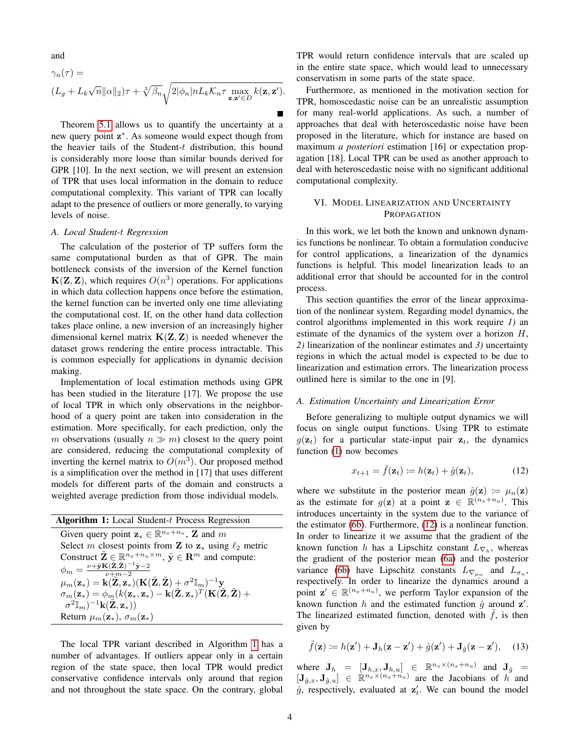and

$$
\gamma_n(\tau) =
$$
  

$$
(L_g + L_k \sqrt{n} ||\alpha||_2) \tau + \sqrt[3]{\beta_n} \sqrt{2 |\phi_n| n L_k \mathcal{K}_n \tau \max_{\mathbf{z}, \mathbf{z}' \in D} k(\mathbf{z}, \mathbf{z}')}.
$$

Theorem [5.1](#page-1-2) allows us to quantify the uncertainty at a new query point z<sup>\*</sup>. As someone would expect though from the heavier tails of the Student- $t$  distribution, this bound is considerably more loose than similar bounds derived for GPR [10]. In the next section, we will present an extension of TPR that uses local information in the domain to reduce computational complexity. This variant of TPR can locally adapt to the presence of outliers or more generally, to varying levels of noise.

## <span id="page-3-1"></span>*A. Local Student-*t *Regression*

The calculation of the posterior of TP suffers form the same computational burden as that of GPR. The main bottleneck consists of the inversion of the Kernel function  $K(Z, Z)$ , which requires  $O(n^3)$  operations. For applications in which data collection happens once before the estimation, the kernel function can be inverted only one time alleviating the computational cost. If, on the other hand data collection takes place online, a new inversion of an increasingly higher dimensional kernel matrix  $K(Z, Z)$  is needed whenever the dataset grows rendering the entire process intractable. This is common especially for applications in dynamic decision making.

Implementation of local estimation methods using GPR has been studied in the literature [17]. We propose the use of local TPR in which only observations in the neighborhood of a query point are taken into consideration in the estimation. More specifically, for each prediction, only the m observations (usually  $n \gg m$ ) closest to the query point are considered, reducing the computational complexity of inverting the kernel matrix to  $O(m^3)$ . Our proposed method is a simplification over the method in [17] that uses different models for different parts of the domain and constructs a weighted average prediction from those individual models.

| <b>Algorithm 1:</b> Local Student-t Process Regression                                                                                                                |
|-----------------------------------------------------------------------------------------------------------------------------------------------------------------------|
| Given query point $\mathbf{z}_* \in \mathbb{R}^{n_x+n_u}$ , <b>Z</b> and m                                                                                            |
| Select m closest points from <b>Z</b> to $z_*$ using $\ell_2$ metric                                                                                                  |
| Construct $\tilde{\mathbf{Z}} \in \mathbb{R}^{n_x+n_u \times m}$ , $\tilde{\mathbf{y}} \in \mathbf{R}^m$ and compute:                                                 |
| $\phi_m=\frac{\nu+\tilde{\mathbf{y}}\mathbf{K}(\tilde{\mathbf{Z}},\tilde{\mathbf{Z}})^{-1}\tilde{\mathbf{y}}-2}{\nu+m-2}$                                             |
| $\mu_m(\mathbf{z}_*) = \mathbf{k}(\mathbf{Z}, \mathbf{z}_*)(\mathbf{K}(\tilde{\mathbf{Z}}, \tilde{\mathbf{Z}}) + \sigma^2 \mathbb{I}_m)^{-1} \mathbf{y}$              |
| $\sigma_m(\mathbf{z}_*) = \phi_m(k(\mathbf{z}_*, \mathbf{z}_*) - \mathbf{k}(\tilde{\mathbf{Z}}, \mathbf{z}_*)^T(\mathbf{K}(\tilde{\mathbf{Z}}, \tilde{\mathbf{Z}}) +$ |
| $\sigma^2 \mathbb{I}_m)^{-1} \mathbf{k}(\mathbf{Z}, \mathbf{z}_*)$                                                                                                    |
| Return $\mu_m(\mathbf{z}_*)$ , $\sigma_m(\mathbf{z}_*)$                                                                                                               |

<span id="page-3-0"></span>The local TPR variant described in Algorithm [1](#page-3-0) has a number of advantages. If outliers appear only in a certain region of the state space, then local TPR would predict conservative confidence intervals only around that region and not throughout the state space. On the contrary, global TPR would return confidence intervals that are scaled up in the entire state space, which would lead to unnecessary conservatism in some parts of the state space.

Furthermore, as mentioned in the motivation section for TPR, homoscedastic noise can be an unrealistic assumption for many real-world applications. As such, a number of approaches that deal with heteroscedastic noise have been proposed in the literature, which for instance are based on maximum *a posteriori* estimation [16] or expectation propagation [18]. Local TPR can be used as another approach to deal with heteroscedastic noise with no significant additional computational complexity.

## <span id="page-3-3"></span>VI. MODEL LINEARIZATION AND UNCERTAINTY PROPAGATION

In this work, we let both the known and unknown dynamics functions be nonlinear. To obtain a formulation conducive for control applications, a linearization of the dynamics functions is helpful. This model linearization leads to an additional error that should be accounted for in the control process.

This section quantifies the error of the linear approximation of the nonlinear system. Regarding model dynamics, the control algorithms implemented in this work require *1)* an estimate of the dynamics of the system over a horizon  $H$ , *2)* linearization of the nonlinear estimates and *3)* uncertainty regions in which the actual model is expected to be due to linearization and estimation errors. The linearization process outlined here is similar to the one in [9].

## *A. Estimation Uncertainty and Linearization Error*

Before generalizing to multiple output dynamics we will focus on single output functions. Using TPR to estimate  $g(\mathbf{z}_t)$  for a particular state-input pair  $\mathbf{z}_t$ , the dynamics function [\(1\)](#page-0-0) now becomes

<span id="page-3-2"></span>
$$
x_{t+1} = \hat{f}(\mathbf{z}_t) := h(\mathbf{z}_t) + \hat{g}(\mathbf{z}_t), \tag{12}
$$

where we substitute in the posterior mean  $\hat{g}(\mathbf{z}) := \mu_n(\mathbf{z})$ as the estimate for  $g(z)$  at a point  $z \in \mathbb{R}^{(n_x+n_u)}$ . This introduces uncertainty in the system due to the variance of the estimator [\(6b\)](#page-1-3). Furthermore, [\(12\)](#page-3-2) is a nonlinear function. In order to linearize it we assume that the gradient of the known function h has a Lipschitz constant  $L_{\nabla_h}$ , whereas the gradient of the posterior mean [\(6a\)](#page-1-1) and the posterior variance [\(6b\)](#page-1-3) have Lipschitz constants  $L_{\nabla_{\mu_n}}$  and  $L_{\sigma_n}$ , respectively. In order to linearize the dynamics around a point  $\mathbf{z}' \in \mathbb{R}^{(n_x+n_u)}$ , we perform Taylor expansion of the known function h and the estimated function  $\hat{g}$  around  $\mathbf{z}'$ . The linearized estimated function, denoted with  $f$ , is then given by

<span id="page-3-4"></span>
$$
\tilde{f}(\mathbf{z}) \coloneqq h(\mathbf{z}') + \mathbf{J}_h(\mathbf{z} - \mathbf{z}') + \hat{g}(\mathbf{z}') + \mathbf{J}_{\hat{g}}(\mathbf{z} - \mathbf{z}'), \quad (13)
$$

where  $\mathbf{J}_h = [\mathbf{J}_{h,x}, \mathbf{J}_{h,u}] \in \mathbb{R}^{n_x \times (n_x + n_u)}$  and  $\mathbf{J}_{\hat{g}} =$  $[\mathbf{J}_{\hat{g},x}, \mathbf{J}_{\hat{g},u}] \in \mathbb{R}^{n_x \times (n_x + n_u)}$  are the Jacobians of  $h$  and  $\hat{g}$ , respectively, evaluated at  $z'_{t}$ . We can bound the model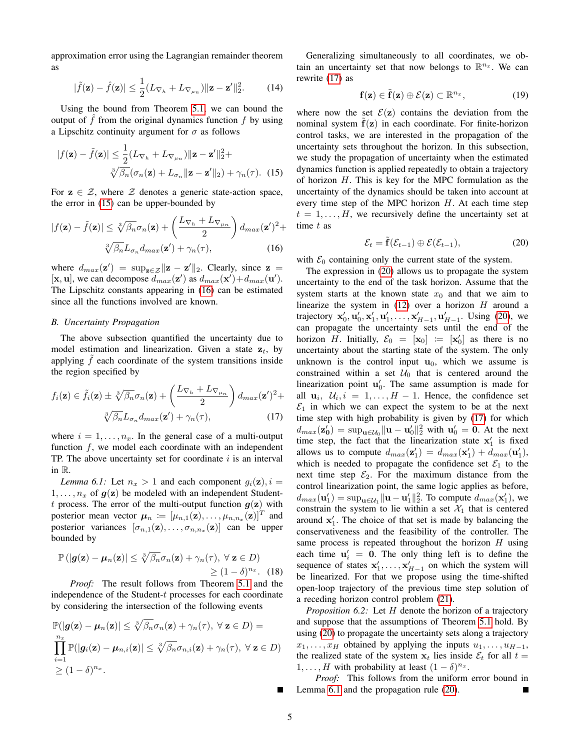approximation error using the Lagrangian remainder theorem as

$$
|\tilde{f}(\mathbf{z}) - \hat{f}(\mathbf{z})| \le \frac{1}{2} (L_{\nabla_h} + L_{\nabla_{\mu_n}}) \|\mathbf{z} - \mathbf{z}'\|_2^2. \tag{14}
$$

Using the bound from Theorem [5.1,](#page-1-2) we can bound the output of  $f$  from the original dynamics function  $f$  by using a Lipschitz continuity argument for  $\sigma$  as follows

$$
|f(\mathbf{z}) - \tilde{f}(\mathbf{z})| \le \frac{1}{2} (L_{\nabla_h} + L_{\nabla_{\mu_n}}) \|\mathbf{z} - \mathbf{z}'\|_2^2 +
$$
  

$$
\sqrt[3]{\beta_n} (\sigma_n(\mathbf{z}) + L_{\sigma_n} \|\mathbf{z} - \mathbf{z}'\|_2) + \gamma_n(\tau). \quad (15)
$$

For  $z \in \mathcal{Z}$ , where  $\mathcal Z$  denotes a generic state-action space, the error in [\(15\)](#page-4-0) can be upper-bounded by

$$
|f(\mathbf{z}) - \tilde{f}(\mathbf{z})| \leq \sqrt[3]{\beta_n} \sigma_n(\mathbf{z}) + \left(\frac{L_{\nabla_h} + L_{\nabla_{\mu_n}}}{2}\right) d_{max}(\mathbf{z}')^2 +
$$

$$
\sqrt[3]{\beta_n} L_{\sigma_n} d_{max}(\mathbf{z}') + \gamma_n(\tau), \qquad (16)
$$

where  $d_{max}(\mathbf{z}') = \sup_{\mathbf{z} \in \mathcal{Z}} ||\mathbf{z} - \mathbf{z}'||_2$ . Clearly, since  $\mathbf{z} =$ [**x**, **u**], we can decompose  $d_{max}(\mathbf{z}')$  as  $d_{max}(\mathbf{x}') + d_{max}(\mathbf{u}')$ . The Lipschitz constants appearing in [\(16\)](#page-4-1) can be estimated since all the functions involved are known.

## *B. Uncertainty Propagation*

The above subsection quantified the uncertainty due to model estimation and linearization. Given a state  $z_t$ , by applying  $f$  each coordinate of the system transitions inside the region specified by

$$
f_i(\mathbf{z}) \in \tilde{f}_i(\mathbf{z}) \pm \sqrt[3]{\beta_n} \sigma_n(\mathbf{z}) + \left(\frac{L_{\nabla_h} + L_{\nabla_{\mu_n}}}{2}\right) d_{max}(\mathbf{z}')^2 + \sqrt[3]{\beta_n} L_{\sigma_n} d_{max}(\mathbf{z}') + \gamma_n(\tau), \qquad (17)
$$

where  $i = 1, \ldots, n_x$ . In the general case of a multi-output function  $f$ , we model each coordinate with an independent TP. The above uncertainty set for coordinate  $i$  is an interval in R.

<span id="page-4-4"></span>*Lemma 6.1:* Let  $n_x > 1$  and each component  $g_i(z)$ ,  $i =$  $1, \ldots, n_x$  of  $g(z)$  be modeled with an independent Studentt process. The error of the multi-output function  $g(z)$  with posterior mean vector  $\boldsymbol{\mu}_n := [\mu_{n,1}(\mathbf{z}), \dots, \mu_{n,n_x}(\mathbf{z})]^T$  and posterior variances  $[\sigma_{n,1}(z), \ldots, \sigma_{n,n_x}(z)]$  can be upper bounded by

$$
\mathbb{P}(|g(\mathbf{z}) - \boldsymbol{\mu}_n(\mathbf{z})| \leq \sqrt[3]{\beta_n} \sigma_n(\mathbf{z}) + \gamma_n(\tau), \ \forall \ \mathbf{z} \in D)
$$
  
\n
$$
\geq (1 - \delta)^{n_x}. \quad (18)
$$

*Proof:* The result follows from Theorem [5.1](#page-1-2) and the independence of the Student-t processes for each coordinate by considering the intersection of the following events

$$
\mathbb{P}(|g(\mathbf{z}) - \boldsymbol{\mu}_n(\mathbf{z})| \leq \sqrt[3]{\beta_n} \sigma_n(\mathbf{z}) + \gamma_n(\tau), \ \forall \ \mathbf{z} \in D) =
$$
\n
$$
\prod_{i=1}^{n_x} \mathbb{P}(|g_i(\mathbf{z}) - \boldsymbol{\mu}_{n,i}(\mathbf{z})| \leq \sqrt[3]{\beta_n} \sigma_{n,i}(\mathbf{z}) + \gamma_n(\tau), \ \forall \ \mathbf{z} \in D)
$$
\n
$$
\geq (1 - \delta)^{n_x}.
$$

Generalizing simultaneously to all coordinates, we obtain an uncertainty set that now belongs to  $\mathbb{R}^{n_x}$ . We can rewrite [\(17\)](#page-4-2) as

$$
\mathbf{f}(\mathbf{z}) \in \tilde{\mathbf{f}}(\mathbf{z}) \oplus \mathcal{E}(\mathbf{z}) \subset \mathbb{R}^{n_x},\tag{19}
$$

<span id="page-4-0"></span>where now the set  $\mathcal{E}(z)$  contains the deviation from the nominal system  $f(z)$  in each coordinate. For finite-horizon control tasks, we are interested in the propagation of the uncertainty sets throughout the horizon. In this subsection, we study the propagation of uncertainty when the estimated dynamics function is applied repeatedly to obtain a trajectory of horizon  $H$ . This is key for the MPC formulation as the uncertainty of the dynamics should be taken into account at every time step of the MPC horizon  $H$ . At each time step  $t = 1, \ldots, H$ , we recursively define the uncertainty set at time  $t$  as

<span id="page-4-3"></span>
$$
\mathcal{E}_t = \tilde{\mathbf{f}}(\mathcal{E}_{t-1}) \oplus \mathcal{E}(\mathcal{E}_{t-1}), \tag{20}
$$

<span id="page-4-1"></span>with  $\mathcal{E}_0$  containing only the current state of the system.

<span id="page-4-2"></span>The expression in [\(20\)](#page-4-3) allows us to propagate the system uncertainty to the end of the task horizon. Assume that the system starts at the known state  $x_0$  and that we aim to linearize the system in  $(12)$  over a horizon H around a trajectory  $x'_0, u'_0, x'_1, u'_1, ..., x'_{H-1}, u'_{H-1}$ . Using [\(20\)](#page-4-3), we can propagate the uncertainty sets until the end of the horizon H. Initially,  $\mathcal{E}_0 = [\mathbf{x}_0] := [\mathbf{x}'_0]$  as there is no uncertainty about the starting state of the system. The only unknown is the control input  $\mathbf{u}_0$ , which we assume is constrained within a set  $U_0$  that is centered around the linearization point  $\mathbf{u}'_0$ . The same assumption is made for all  $\mathbf{u}_i$ ,  $\mathcal{U}_i$ ,  $i = 1, \ldots, H - 1$ . Hence, the confidence set  $\mathcal{E}_1$  in which we can expect the system to be at the next time step with high probability is given by [\(17\)](#page-4-2) for which  $d_{max}(\mathbf{z}'_0) = \sup_{\mathbf{u} \in \mathcal{U}_0} \|\mathbf{u} - \mathbf{u}'_0\|_2^2$  with  $\mathbf{u}'_0 = \mathbf{0}$ . At the next time step, the fact that the linearization state  $x'_1$  is fixed allows us to compute  $d_{max}(\mathbf{z}'_1) = d_{max}(\mathbf{x}'_1) + d_{max}(\mathbf{u}'_1)$ , which is needed to propagate the confidence set  $\mathcal{E}_1$  to the next time step  $\mathcal{E}_2$ . For the maximum distance from the control linearization point, the same logic applies as before,  $d_{max}(\mathbf{u}'_1) = \sup_{\mathbf{u} \in \mathcal{U}_1} ||\mathbf{u} - \mathbf{u}'_1||_2^2$ . To compute  $d_{max}(\mathbf{x}'_1)$ , we constrain the system to lie within a set  $\mathcal{X}_1$  that is centered around  $x'_1$ . The choice of that set is made by balancing the conservativeness and the feasibility of the controller. The same process is repeated throughout the horizon  $H$  using each time  $\mathbf{u}'_i = \mathbf{0}$ . The only thing left is to define the sequence of states  $x'_1, \ldots, x'_{H-1}$  on which the system will be linearized. For that we propose using the time-shifted open-loop trajectory of the previous time step solution of a receding horizon control problem [\(21\)](#page-5-0).

<span id="page-4-5"></span>*Proposition 6.2:* Let H denote the horizon of a trajectory and suppose that the assumptions of Theorem [5.1](#page-1-2) hold. By using [\(20\)](#page-4-3) to propagate the uncertainty sets along a trajectory  $x_1, \ldots, x_H$  obtained by applying the inputs  $u_1, \ldots, u_{H-1}$ , the realized state of the system  $x_t$  lies inside  $\mathcal{E}_t$  for all  $t =$  $1, \ldots, H$  with probability at least  $(1 - \delta)^{n_x}$ .

*Proof:* This follows from the uniform error bound in Lemma [6.1](#page-4-4) and the propagation rule [\(20\)](#page-4-3).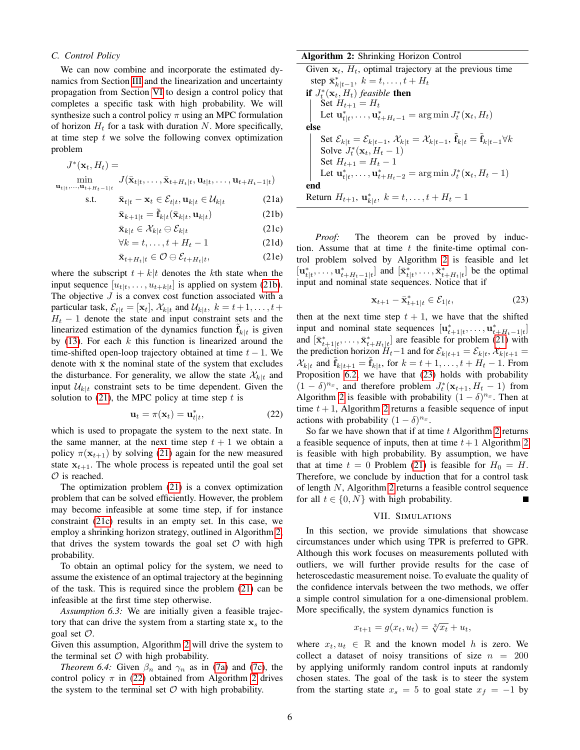## *C. Control Policy*

We can now combine and incorporate the estimated dynamics from Section [III](#page-0-1) and the linearization and uncertainty propagation from Section [VI](#page-3-3) to design a control policy that completes a specific task with high probability. We will synthesize such a control policy  $\pi$  using an MPC formulation of horizon  $H_t$  for a task with duration N. More specifically, at time step  $t$  we solve the following convex optimization problem

<span id="page-5-0"></span>
$$
J^*(\mathbf{x}_t, H_t) = \min_{\mathbf{u}_{t|t},\ldots,\mathbf{u}_{t+H_t-1|t}} J(\bar{\mathbf{x}}_{t|t},\ldots,\bar{\mathbf{x}}_{t+H_t|t},\mathbf{u}_{t|t},\ldots,\mathbf{u}_{t+H_t-1|t})
$$

$$
\text{s.t.} \qquad \bar{\mathbf{x}}_{t|t} - \mathbf{x}_t \in \mathcal{E}_{t|t}, \mathbf{u}_{k|t} \in \mathcal{U}_{k|t} \tag{21a}
$$

$$
\bar{\mathbf{x}}_{k+1|t} = \tilde{\mathbf{f}}_{k|t}(\bar{\mathbf{x}}_{k|t}, \mathbf{u}_{k|t})
$$
 (21b)

$$
\bar{\mathbf{x}}_{k|t} \in \mathcal{X}_{k|t} \ominus \mathcal{E}_{k|t} \tag{21c}
$$

$$
\forall k = t, \dots, t + H_t - 1 \tag{21d}
$$

$$
\bar{\mathbf{x}}_{t+H_t|t} \in \mathcal{O} \ominus \mathcal{E}_{t+H_t|t},\tag{21e}
$$

where the subscript  $t + k|t$  denotes the kth state when the input sequence  $[u_{t|t},...,u_{t+k|t}]$  is applied on system [\(21b\)](#page-5-1). The objective  $J$  is a convex cost function associated with a particular task,  $\mathcal{E}_{t|t} = [\mathbf{x}_t], \mathcal{X}_{k|t}$  and  $\mathcal{U}_{k|t}, k = t+1, \ldots, t+1$  $H_t$  − 1 denote the state and input constraint sets and the linearized estimation of the dynamics function  $\tilde{\mathbf{f}}_{k|t}$  is given by  $(13)$ . For each k this function is linearized around the time-shifted open-loop trajectory obtained at time  $t - 1$ . We denote with  $\bar{x}$  the nominal state of the system that excludes the disturbance. For generality, we allow the state  $\mathcal{X}_{k|t}$  and input  $\mathcal{U}_{k|t}$  constraint sets to be time dependent. Given the solution to  $(21)$ , the MPC policy at time step t is

$$
\mathbf{u}_t = \pi(\mathbf{x}_t) = \mathbf{u}_{t|t}^*,\tag{22}
$$

which is used to propagate the system to the next state. In the same manner, at the next time step  $t + 1$  we obtain a policy  $\pi(\mathbf{x}_{t+1})$  by solving [\(21\)](#page-5-0) again for the new measured state  $x_{t+1}$ . The whole process is repeated until the goal set  $\mathcal O$  is reached.

The optimization problem [\(21\)](#page-5-0) is a convex optimization problem that can be solved efficiently. However, the problem may become infeasible at some time step, if for instance constraint [\(21c\)](#page-5-2) results in an empty set. In this case, we employ a shrinking horizon strategy, outlined in Algorithm [2,](#page-5-3) that drives the system towards the goal set  $\mathcal O$  with high probability.

To obtain an optimal policy for the system, we need to assume the existence of an optimal trajectory at the beginning of the task. This is required since the problem [\(21\)](#page-5-0) can be infeasible at the first time step otherwise.

*Assumption 6.3:* We are initially given a feasible trajectory that can drive the system from a starting state  $x<sub>s</sub>$  to the goal set O.

Given this assumption, Algorithm [2](#page-5-3) will drive the system to the terminal set  $O$  with high probability.

*Theorem 6.4:* Given  $\beta_n$  and  $\gamma_n$  as in [\(7a\)](#page-2-5) and [\(7c\)](#page-2-6), the control policy  $\pi$  in [\(22\)](#page-5-4) obtained from Algorithm [2](#page-5-3) drives the system to the terminal set  $\mathcal O$  with high probability.

## Algorithm 2: Shrinking Horizon Control

Given  $x_t$ ,  $H_t$ , optimal trajectory at the previous time step  $\bar{\mathbf{x}}_{k|t-1}^*$ ,  $k = t, \ldots, t + H_t$ if  $J_t^*(\mathbf{x}_t, H_t)$  *feasible* then Set  $H_{t+1} = H_t$ 

Let 
$$
\mathbf{u}_{t|t}^*, \dots, \mathbf{u}_{t+H_t-1}^* = \arg \min J_t^*(\mathbf{x}_t, H_t)
$$
  
\nelse  
\nSet  $\mathcal{E}_{k|t} = \mathcal{E}_{k|t-1}, \mathcal{X}_{k|t} = \mathcal{X}_{k|t-1}, \tilde{\mathbf{f}}_{k|t} = \tilde{\mathbf{f}}_{k|t-1} \forall k$   
\nSolve  $J_t^*(\mathbf{x}_t, H_t - 1)$   
\nSet  $H_{t+1} = H_t - 1$   
\nLet  $\mathbf{u}_{t|t}^*, \dots, \mathbf{u}_{t+H_t-2}^* = \arg \min J_t^*(\mathbf{x}_t, H_t - 1)$   
\nend  
\nReturn  $H_{t+1}, \mathbf{u}_{k|t}^*, k = t, \dots, t + H_t - 1$ 

<span id="page-5-2"></span><span id="page-5-1"></span>*Proof:* The theorem can be proved by induction. Assume that at time  $t$  the finite-time optimal control problem solved by Algorithm [2](#page-5-3) is feasible and let  $[\mathbf{u}_{t|t}^*, \ldots, \mathbf{u}_{t+H_t-1|t}^*]$  and  $[\bar{\mathbf{x}}_{t|t}^*, \ldots, \bar{\mathbf{x}}_{t+H_t|t}^*]$  be the optimal input and nominal state sequences. Notice that if

<span id="page-5-5"></span><span id="page-5-3"></span>
$$
\mathbf{x}_{t+1} - \bar{\mathbf{x}}_{t+1|t}^* \in \mathcal{E}_{1|t},\tag{23}
$$

then at the next time step  $t + 1$ , we have that the shifted input and nominal state sequences  $[\mathbf{u}_{t+1|t}^*, \dots, \mathbf{u}_{t+H_t-1|t}^*]$ and  $[\bar{\mathbf{x}}_{t+1|t}^*, \ldots, \bar{\mathbf{x}}_{t+H_t|t}^*]$  are feasible for problem [\(21\)](#page-5-0) with the prediction horizon  $H_t-1$  and for  $\mathcal{E}_{k|t+1} = \mathcal{E}_{k|t}, \mathcal{X}_{k|t+1} =$  $\mathcal{X}_{k|t}$  and  $\tilde{\mathbf{f}}_{k|t+1} = \tilde{\mathbf{f}}_{k|t}$ , for  $k = t+1, \ldots, t+H_t-1$ . From Proposition [6.2,](#page-4-5) we have that [\(23\)](#page-5-5) holds with probability  $(1 - \delta)^{n_x}$ , and therefore problem  $J_t^*(\mathbf{x}_{t+1}, H_t - 1)$  from Algorithm [2](#page-5-3) is feasible with probability  $(1 - \delta)^{n_x}$ . Then at time  $t + 1$ , Algorithm [2](#page-5-3) returns a feasible sequence of input actions with probability  $(1 - \delta)^{n_x}$ .

<span id="page-5-4"></span>So far we have shown that if at time  $t$  Algorithm [2](#page-5-3) returns a feasible sequence of inputs, then at time  $t+1$  Algorithm [2](#page-5-3) is feasible with high probability. By assumption, we have that at time  $t = 0$  Problem [\(21\)](#page-5-0) is feasible for  $H_0 = H$ . Therefore, we conclude by induction that for a control task of length N, Algorithm [2](#page-5-3) returns a feasible control sequence for all  $t \in \{0, N\}$  with high probability.  $\blacksquare$ 

#### VII. SIMULATIONS

In this section, we provide simulations that showcase circumstances under which using TPR is preferred to GPR. Although this work focuses on measurements polluted with outliers, we will further provide results for the case of heteroscedastic measurement noise. To evaluate the quality of the confidence intervals between the two methods, we offer a simple control simulation for a one-dimensional problem. More specifically, the system dynamics function is

$$
x_{t+1} = g(x_t, u_t) = \sqrt[3]{x_t} + u_t,
$$

where  $x_t, u_t \in \mathbb{R}$  and the known model h is zero. We collect a dataset of noisy transitions of size  $n = 200$ by applying uniformly random control inputs at randomly chosen states. The goal of the task is to steer the system from the starting state  $x_s = 5$  to goal state  $x_f = -1$  by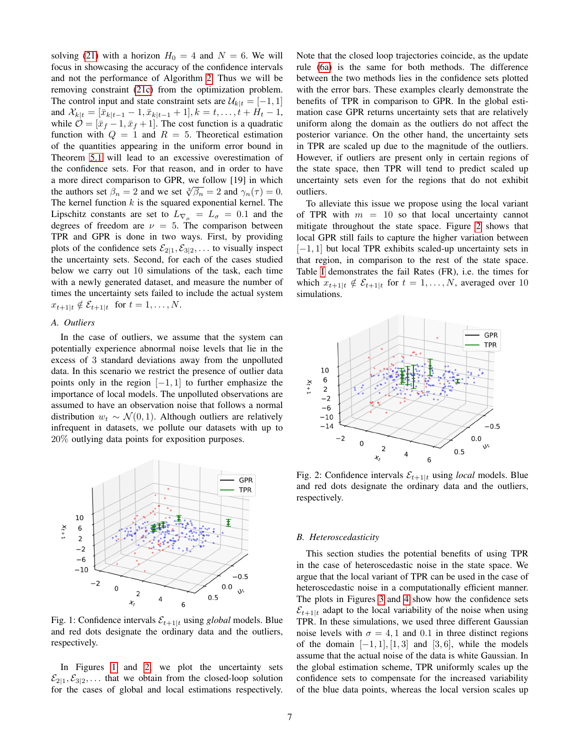solving [\(21\)](#page-5-0) with a horizon  $H_0 = 4$  and  $N = 6$ . We will focus in showcasing the accuracy of the confidence intervals and not the performance of Algorithm [2.](#page-5-3) Thus we will be removing constraint [\(21c\)](#page-5-2) from the optimization problem. The control input and state constraint sets are  $\mathcal{U}_{k|t} = [-1, 1]$ and  $\mathcal{X}_{k|t} = [\bar{x}_{k|t-1} - 1, \bar{x}_{k|t-1} + 1], k = t, \ldots, t + H_t - 1$ , while  $\mathcal{O} = [\bar{x}_f - 1, \bar{x}_f + 1]$ . The cost function is a quadratic function with  $Q = 1$  and  $R = 5$ . Theoretical estimation of the quantities appearing in the uniform error bound in Theorem [5.1](#page-1-2) will lead to an excessive overestimation of the confidence sets. For that reason, and in order to have a more direct comparison to GPR, we follow [19] in which the authors set  $\beta_n = 2$  and we set  $\sqrt[3]{\beta_n} = 2$  and  $\gamma_n(\tau) = 0$ . The kernel function  $k$  is the squared exponential kernel. The Lipschitz constants are set to  $L_{\nabla\mu} = L_{\sigma} = 0.1$  and the degrees of freedom are  $\nu = 5$ . The comparison between TPR and GPR is done in two ways. First, by providing plots of the confidence sets  $\mathcal{E}_{2|1}, \mathcal{E}_{3|2}, \ldots$  to visually inspect the uncertainty sets. Second, for each of the cases studied below we carry out 10 simulations of the task, each time with a newly generated dataset, and measure the number of times the uncertainty sets failed to include the actual system  $x_{t+1|t} \notin \mathcal{E}_{t+1|t}$  for  $t = 1, \ldots, N$ .

## *A. Outliers*

In the case of outliers, we assume that the system can potentially experience abnormal noise levels that lie in the excess of 3 standard deviations away from the unpolluted data. In this scenario we restrict the presence of outlier data points only in the region  $[-1, 1]$  to further emphasize the importance of local models. The unpolluted observations are assumed to have an observation noise that follows a normal distribution  $w_t$  ∼  $\mathcal{N}(0, 1)$ . Although outliers are relatively infrequent in datasets, we pollute our datasets with up to 20% outlying data points for exposition purposes.

<span id="page-6-0"></span>

Fig. 1: Confidence intervals  $\mathcal{E}_{t+1|t}$  using *global* models. Blue and red dots designate the ordinary data and the outliers, respectively.

In Figures [1](#page-6-0) and [2,](#page-6-1) we plot the uncertainty sets  $\mathcal{E}_{2|1}, \mathcal{E}_{3|2}, \ldots$  that we obtain from the closed-loop solution for the cases of global and local estimations respectively.

Note that the closed loop trajectories coincide, as the update rule [\(6a\)](#page-1-1) is the same for both methods. The difference between the two methods lies in the confidence sets plotted with the error bars. These examples clearly demonstrate the benefits of TPR in comparison to GPR. In the global estimation case GPR returns uncertainty sets that are relatively uniform along the domain as the outliers do not affect the posterior variance. On the other hand, the uncertainty sets in TPR are scaled up due to the magnitude of the outliers. However, if outliers are present only in certain regions of the state space, then TPR will tend to predict scaled up uncertainty sets even for the regions that do not exhibit outliers.

To alleviate this issue we propose using the local variant of TPR with  $m = 10$  so that local uncertainty cannot mitigate throughout the state space. Figure [2](#page-6-1) shows that local GPR still fails to capture the higher variation between [−1, 1] but local TPR exhibits scaled-up uncertainty sets in that region, in comparison to the rest of the state space. Table [I](#page-7-0) demonstrates the fail Rates (FR), i.e. the times for which  $x_{t+1|t} \notin \mathcal{E}_{t+1|t}$  for  $t = 1, ..., N$ , averaged over 10 simulations.

<span id="page-6-1"></span>

Fig. 2: Confidence intervals  $\mathcal{E}_{t+1|t}$  using *local* models. Blue and red dots designate the ordinary data and the outliers, respectively.

## *B. Heteroscedasticity*

This section studies the potential benefits of using TPR in the case of heteroscedastic noise in the state space. We argue that the local variant of TPR can be used in the case of heteroscedastic noise in a computationally efficient manner. The plots in Figures [3](#page-7-1) and [4](#page-7-2) show how the confidence sets  $\mathcal{E}_{t+1|t}$  adapt to the local variability of the noise when using TPR. In these simulations, we used three different Gaussian noise levels with  $\sigma = 4, 1$  and 0.1 in three distinct regions of the domain  $[-1, 1]$ ,  $[1, 3]$  and  $[3, 6]$ , while the models assume that the actual noise of the data is white Gaussian. In the global estimation scheme, TPR uniformly scales up the confidence sets to compensate for the increased variability of the blue data points, whereas the local version scales up